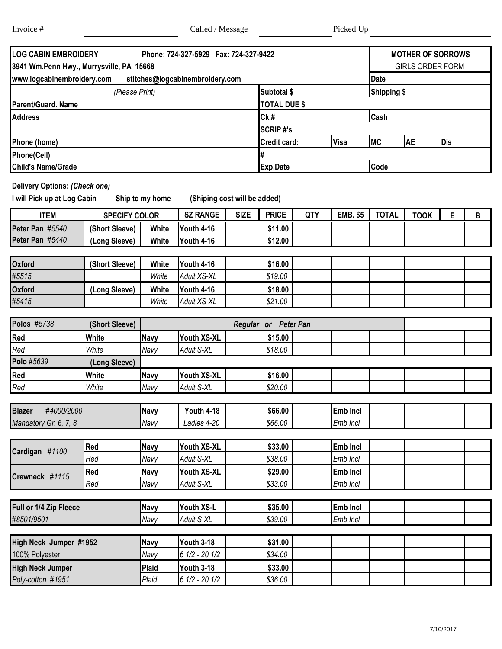Г

Т

| <b>LOG CABIN EMBROIDERY</b>              | <b>MOTHER OF SORROWS</b>        |                     |      |                    |           |            |  |  |  |
|------------------------------------------|---------------------------------|---------------------|------|--------------------|-----------|------------|--|--|--|
| 3941 Wm.Penn Hwy., Murrysville, PA 15668 | <b>GIRLS ORDER FORM</b>         |                     |      |                    |           |            |  |  |  |
| www.logcabinembroidery.com               | stitches@logcabinembroidery.com |                     |      | <b>Date</b>        |           |            |  |  |  |
|                                          | (Please Print)                  | <b>Subtotal \$</b>  |      | <b>Shipping \$</b> |           |            |  |  |  |
| Parent/Guard. Name                       |                                 | <b>TOTAL DUE \$</b> |      |                    |           |            |  |  |  |
| <b>Address</b>                           |                                 | Ck.#                | Cash |                    |           |            |  |  |  |
|                                          |                                 | <b>SCRIP#'s</b>     |      |                    |           |            |  |  |  |
| Phone (home)                             |                                 | <b>Credit card:</b> | Visa | <b>IMC</b>         | <b>AE</b> | <b>Dis</b> |  |  |  |
| Phone(Cell)                              |                                 |                     |      |                    |           |            |  |  |  |
| <b>Child's Name/Grade</b>                |                                 | Code<br>Exp.Date    |      |                    |           |            |  |  |  |

## **Delivery Options:** *(Check one)*

**I will Pick up at Log Cabin\_\_\_\_\_Ship to my home\_\_\_\_\_(Shiping cost will be added)**

| ITEM                      | <b>SPECIFY COLOR</b> |       | <b>SZ RANGE</b> | <b>SIZE</b> | <b>PRICE</b> | QTY | <b>EMB. \$5</b> | <b>TOTAL</b> | <b>TOOK</b> |  |
|---------------------------|----------------------|-------|-----------------|-------------|--------------|-----|-----------------|--------------|-------------|--|
| #5540<br><b>Peter Pan</b> | (Short Sleeve)       | White | Youth 4-16      |             | \$11.00      |     |                 |              |             |  |
| #5440<br><b>Peter Pan</b> | (Long Sleeve)        | White | Youth 4-16      |             | \$12.00      |     |                 |              |             |  |

| <b>Oxford</b> | (Short Sleeve) | White | Youth 4-16   | \$16.00 |  |  |  |
|---------------|----------------|-------|--------------|---------|--|--|--|
| #5515         |                | White | Adult XS-XL  | \$19.00 |  |  |  |
| <b>Oxford</b> | (Long Sleeve)  | White | Youth $4-16$ | \$18.00 |  |  |  |
| #5415         |                | White | Adult XS-XL  | \$21.00 |  |  |  |

| <b>Polos #5738</b>          |               |              |                   |         |          |  |  |
|-----------------------------|---------------|--------------|-------------------|---------|----------|--|--|
| Red                         | <b>White</b>  | <b>Navy</b>  | Youth XS-XL       | \$15.00 |          |  |  |
| Red                         | White         | Navy         | Adult S-XL        | \$18.00 |          |  |  |
| Polo #5639                  | (Long Sleeve) |              |                   |         |          |  |  |
| Red                         | <b>White</b>  | <b>Navy</b>  | Youth XS-XL       | \$16.00 |          |  |  |
| Red                         | White         | Navy         | Adult S-XL        | \$20.00 |          |  |  |
|                             |               |              |                   |         |          |  |  |
| <b>Blazer</b><br>#4000/2000 |               | <b>Navy</b>  | <b>Youth 4-18</b> | \$66.00 | Emb Incl |  |  |
| Mandatory Gr. 6, 7, 8       |               | Navy         | Ladies 4-20       | \$66.00 | Emb Incl |  |  |
|                             |               |              |                   |         |          |  |  |
| Cardigan #1100              | Red           | <b>Navy</b>  | Youth XS-XL       | \$33.00 | Emb Incl |  |  |
|                             | Red           | Navy         | Adult S-XL        | \$38.00 | Emb Incl |  |  |
| Crewneck #1115              | Red           | <b>Navy</b>  | Youth XS-XL       | \$29.00 | Emb Incl |  |  |
|                             | Red           | Navy         | Adult S-XL        | \$33.00 | Emb Incl |  |  |
|                             |               |              |                   |         |          |  |  |
| Full or 1/4 Zip Fleece      |               | Navy         | Youth XS-L        | \$35.00 | Emb Incl |  |  |
| #8501/9501                  |               | Navy         | Adult S-XL        | \$39.00 | Emb Incl |  |  |
|                             |               |              |                   |         |          |  |  |
| High Neck Jumper #1952      |               | <b>Navy</b>  | <b>Youth 3-18</b> | \$31.00 |          |  |  |
| 100% Polyester              |               | Navy         | $61/2 - 201/2$    | \$34.00 |          |  |  |
| <b>High Neck Jumper</b>     |               | <b>Plaid</b> | <b>Youth 3-18</b> | \$33.00 |          |  |  |
| Poly-cotton #1951           |               | Plaid        | $61/2 - 201/2$    | \$36.00 |          |  |  |